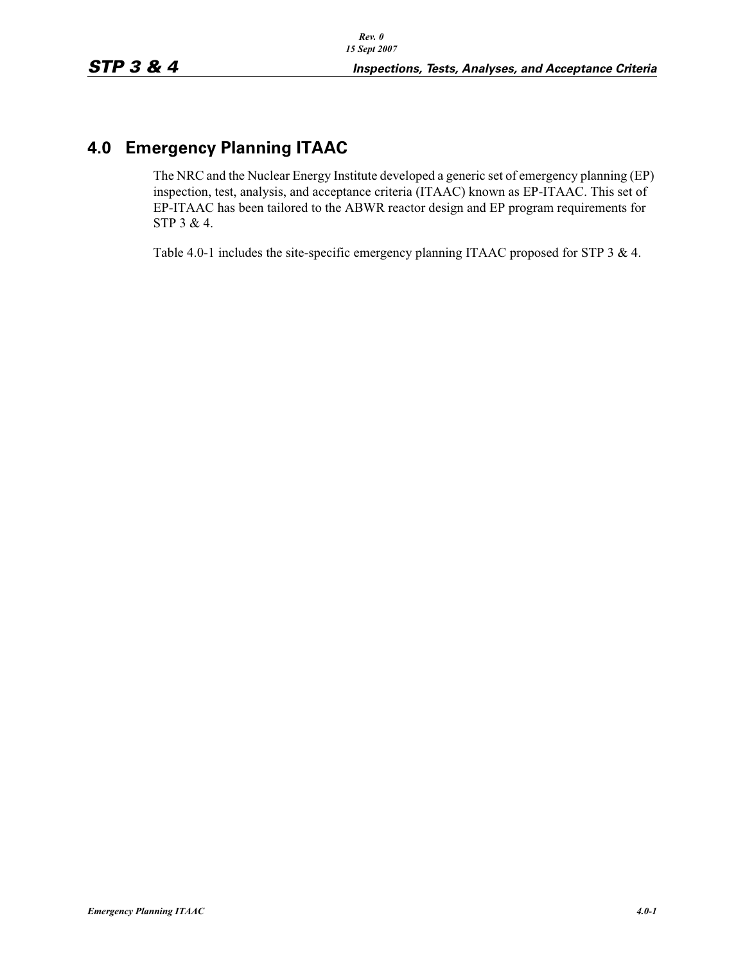## **4.0 Emergency Planning ITAAC**

The NRC and the Nuclear Energy Institute developed a generic set of emergency planning (EP) inspection, test, analysis, and acceptance criteria (ITAAC) known as EP-ITAAC. This set of EP-ITAAC has been tailored to the ABWR reactor design and EP program requirements for STP 3 & 4.

Table 4.0-1 includes the site-specific emergency planning ITAAC proposed for STP 3 & 4.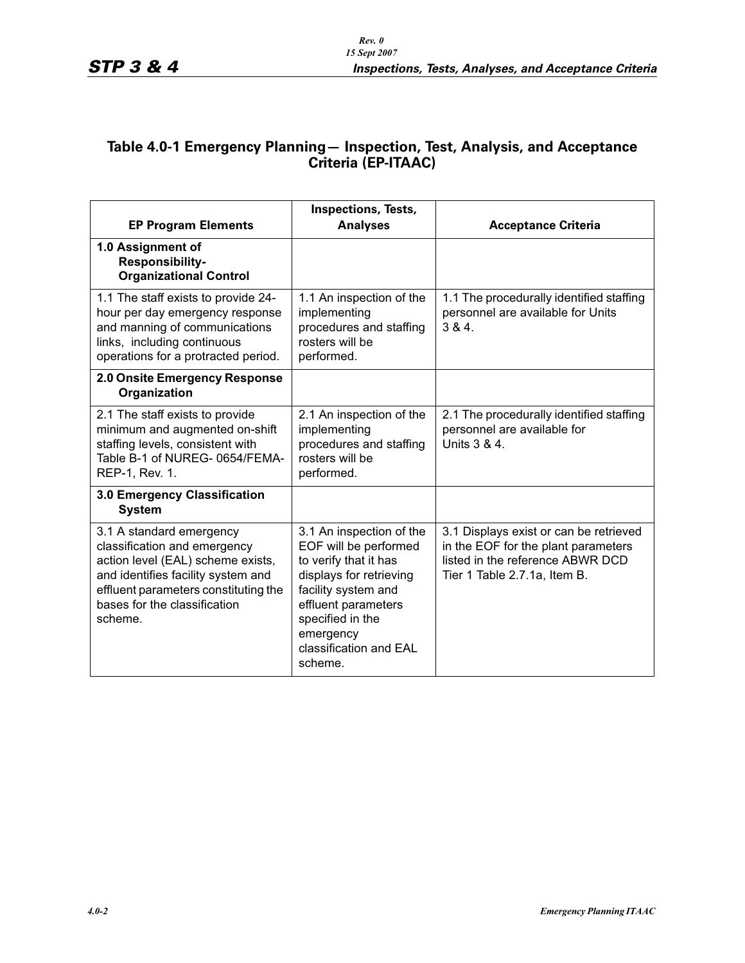## **Table 4.0-1 Emergency Planning— Inspection, Test, Analysis, and Acceptance Criteria (EP-ITAAC)**

| <b>EP Program Elements</b>                                                                                                                                                                                             | <b>Inspections, Tests,</b><br><b>Analyses</b>                                                                                                                                                                             | <b>Acceptance Criteria</b>                                                                                                                        |
|------------------------------------------------------------------------------------------------------------------------------------------------------------------------------------------------------------------------|---------------------------------------------------------------------------------------------------------------------------------------------------------------------------------------------------------------------------|---------------------------------------------------------------------------------------------------------------------------------------------------|
| 1.0 Assignment of<br><b>Responsibility-</b><br><b>Organizational Control</b>                                                                                                                                           |                                                                                                                                                                                                                           |                                                                                                                                                   |
| 1.1 The staff exists to provide 24-<br>hour per day emergency response<br>and manning of communications<br>links, including continuous<br>operations for a protracted period.                                          | 1.1 An inspection of the<br>implementing<br>procedures and staffing<br>rosters will be<br>performed.                                                                                                                      | 1.1 The procedurally identified staffing<br>personnel are available for Units<br>384.                                                             |
| 2.0 Onsite Emergency Response<br>Organization                                                                                                                                                                          |                                                                                                                                                                                                                           |                                                                                                                                                   |
| 2.1 The staff exists to provide<br>minimum and augmented on-shift<br>staffing levels, consistent with<br>Table B-1 of NUREG-0654/FEMA-<br>REP-1, Rev. 1.                                                               | 2.1 An inspection of the<br>implementing<br>procedures and staffing<br>rosters will be<br>performed.                                                                                                                      | 2.1 The procedurally identified staffing<br>personnel are available for<br>Units $3 & 4$ .                                                        |
| 3.0 Emergency Classification<br><b>System</b>                                                                                                                                                                          |                                                                                                                                                                                                                           |                                                                                                                                                   |
| 3.1 A standard emergency<br>classification and emergency<br>action level (EAL) scheme exists,<br>and identifies facility system and<br>effluent parameters constituting the<br>bases for the classification<br>scheme. | 3.1 An inspection of the<br>EOF will be performed<br>to verify that it has<br>displays for retrieving<br>facility system and<br>effluent parameters<br>specified in the<br>emergency<br>classification and EAL<br>scheme. | 3.1 Displays exist or can be retrieved<br>in the EOF for the plant parameters<br>listed in the reference ABWR DCD<br>Tier 1 Table 2.7.1a, Item B. |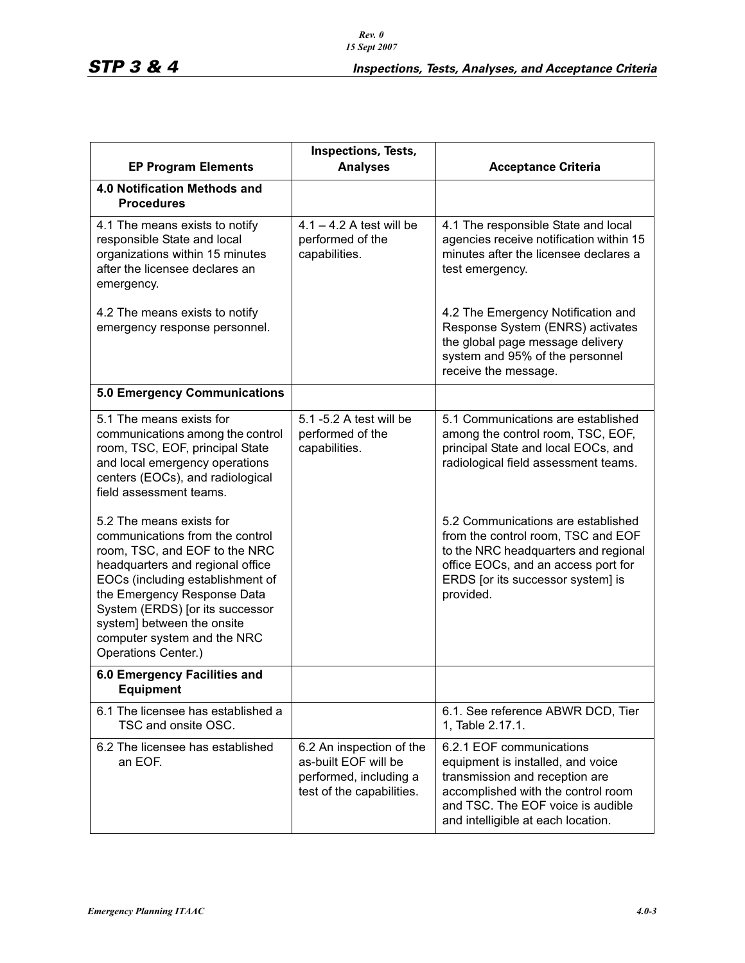| <b>EP Program Elements</b>                                                                                                                                                                                                                                                                                                 | Inspections, Tests,<br><b>Analyses</b>                                                                  | <b>Acceptance Criteria</b>                                                                                                                                                                                       |
|----------------------------------------------------------------------------------------------------------------------------------------------------------------------------------------------------------------------------------------------------------------------------------------------------------------------------|---------------------------------------------------------------------------------------------------------|------------------------------------------------------------------------------------------------------------------------------------------------------------------------------------------------------------------|
| 4.0 Notification Methods and<br><b>Procedures</b>                                                                                                                                                                                                                                                                          |                                                                                                         |                                                                                                                                                                                                                  |
| 4.1 The means exists to notify<br>responsible State and local<br>organizations within 15 minutes<br>after the licensee declares an<br>emergency.                                                                                                                                                                           | $4.1 - 4.2$ A test will be<br>performed of the<br>capabilities.                                         | 4.1 The responsible State and local<br>agencies receive notification within 15<br>minutes after the licensee declares a<br>test emergency.                                                                       |
| 4.2 The means exists to notify<br>emergency response personnel.                                                                                                                                                                                                                                                            |                                                                                                         | 4.2 The Emergency Notification and<br>Response System (ENRS) activates<br>the global page message delivery<br>system and 95% of the personnel<br>receive the message.                                            |
| <b>5.0 Emergency Communications</b>                                                                                                                                                                                                                                                                                        |                                                                                                         |                                                                                                                                                                                                                  |
| 5.1 The means exists for<br>communications among the control<br>room, TSC, EOF, principal State<br>and local emergency operations<br>centers (EOCs), and radiological<br>field assessment teams.                                                                                                                           | 5.1 -5.2 A test will be<br>performed of the<br>capabilities.                                            | 5.1 Communications are established<br>among the control room, TSC, EOF,<br>principal State and local EOCs, and<br>radiological field assessment teams.                                                           |
| 5.2 The means exists for<br>communications from the control<br>room, TSC, and EOF to the NRC<br>headquarters and regional office<br>EOCs (including establishment of<br>the Emergency Response Data<br>System (ERDS) [or its successor<br>system] between the onsite<br>computer system and the NRC<br>Operations Center.) |                                                                                                         | 5.2 Communications are established<br>from the control room, TSC and EOF<br>to the NRC headquarters and regional<br>office EOCs, and an access port for<br>ERDS [or its successor system] is<br>provided.        |
| 6.0 Emergency Facilities and<br><b>Equipment</b>                                                                                                                                                                                                                                                                           |                                                                                                         |                                                                                                                                                                                                                  |
| 6.1 The licensee has established a<br>TSC and onsite OSC.                                                                                                                                                                                                                                                                  |                                                                                                         | 6.1. See reference ABWR DCD, Tier<br>1, Table 2.17.1.                                                                                                                                                            |
| 6.2 The licensee has established<br>an EOF.                                                                                                                                                                                                                                                                                | 6.2 An inspection of the<br>as-built EOF will be<br>performed, including a<br>test of the capabilities. | 6.2.1 EOF communications<br>equipment is installed, and voice<br>transmission and reception are<br>accomplished with the control room<br>and TSC. The EOF voice is audible<br>and intelligible at each location. |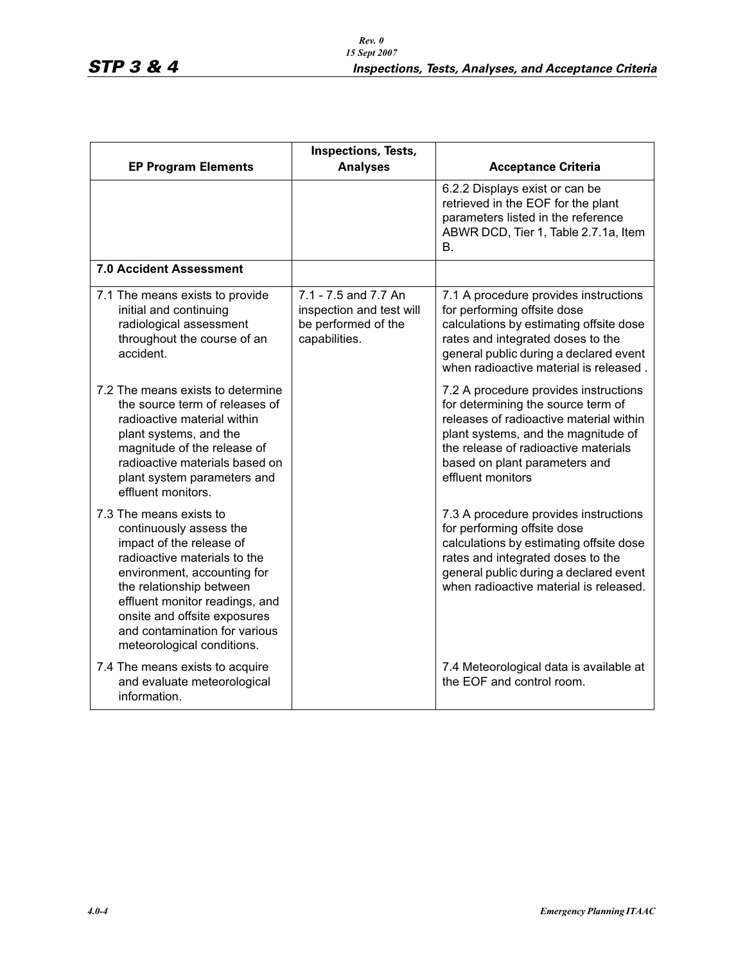| <b>EP Program Elements</b>                                                                                                                                                                                                                                                                                 | Inspections, Tests,<br><b>Analyses</b>                                                   | <b>Acceptance Criteria</b>                                                                                                                                                                                                                                  |
|------------------------------------------------------------------------------------------------------------------------------------------------------------------------------------------------------------------------------------------------------------------------------------------------------------|------------------------------------------------------------------------------------------|-------------------------------------------------------------------------------------------------------------------------------------------------------------------------------------------------------------------------------------------------------------|
|                                                                                                                                                                                                                                                                                                            |                                                                                          | 6.2.2 Displays exist or can be<br>retrieved in the EOF for the plant<br>parameters listed in the reference<br>ABWR DCD, Tier 1, Table 2.7.1a, Item<br>В.                                                                                                    |
| <b>7.0 Accident Assessment</b>                                                                                                                                                                                                                                                                             |                                                                                          |                                                                                                                                                                                                                                                             |
| 7.1 The means exists to provide<br>initial and continuing<br>radiological assessment<br>throughout the course of an<br>accident.                                                                                                                                                                           | 7.1 - 7.5 and 7.7 An<br>inspection and test will<br>be performed of the<br>capabilities. | 7.1 A procedure provides instructions<br>for performing offsite dose<br>calculations by estimating offsite dose<br>rates and integrated doses to the<br>general public during a declared event<br>when radioactive material is released.                    |
| 7.2 The means exists to determine<br>the source term of releases of<br>radioactive material within<br>plant systems, and the<br>magnitude of the release of<br>radioactive materials based on<br>plant system parameters and<br>effluent monitors.                                                         |                                                                                          | 7.2 A procedure provides instructions<br>for determining the source term of<br>releases of radioactive material within<br>plant systems, and the magnitude of<br>the release of radioactive materials<br>based on plant parameters and<br>effluent monitors |
| 7.3 The means exists to<br>continuously assess the<br>impact of the release of<br>radioactive materials to the<br>environment, accounting for<br>the relationship between<br>effluent monitor readings, and<br>onsite and offsite exposures<br>and contamination for various<br>meteorological conditions. |                                                                                          | 7.3 A procedure provides instructions<br>for performing offsite dose<br>calculations by estimating offsite dose<br>rates and integrated doses to the<br>general public during a declared event<br>when radioactive material is released.                    |
| 7.4 The means exists to acquire<br>and evaluate meteorological<br>information.                                                                                                                                                                                                                             |                                                                                          | 7.4 Meteorological data is available at<br>the EOF and control room.                                                                                                                                                                                        |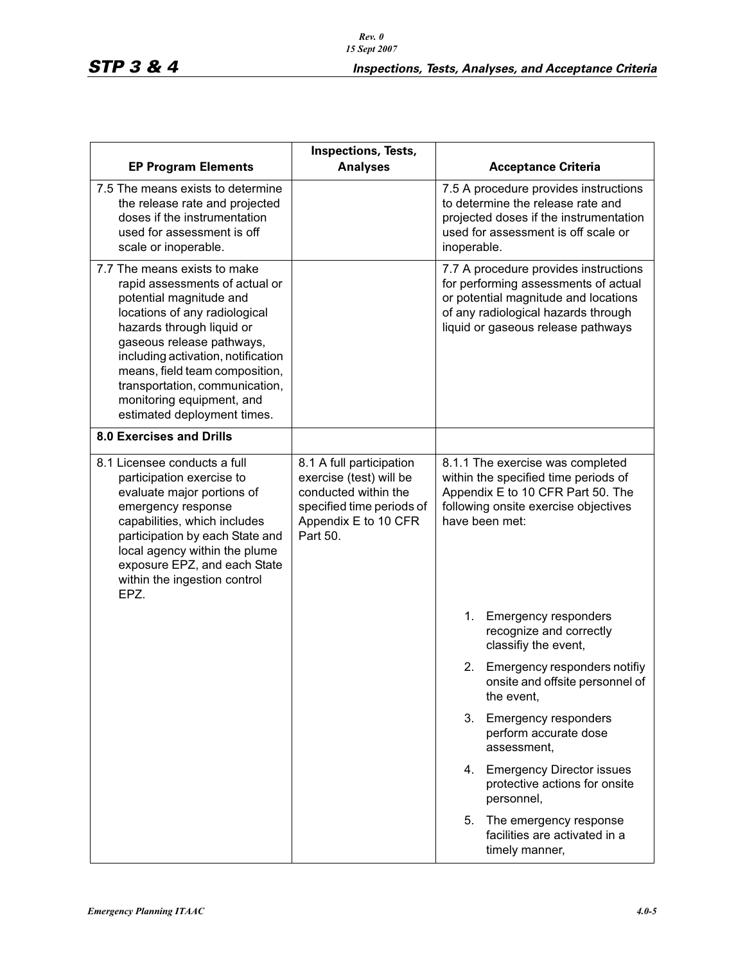|                                                                                                                                                                                                                                                                                                                                                            | Inspections, Tests,                                                                                                                          |                                                                                                                                                                                                          |
|------------------------------------------------------------------------------------------------------------------------------------------------------------------------------------------------------------------------------------------------------------------------------------------------------------------------------------------------------------|----------------------------------------------------------------------------------------------------------------------------------------------|----------------------------------------------------------------------------------------------------------------------------------------------------------------------------------------------------------|
| <b>EP Program Elements</b><br>7.5 The means exists to determine<br>the release rate and projected<br>doses if the instrumentation<br>used for assessment is off<br>scale or inoperable.                                                                                                                                                                    | <b>Analyses</b>                                                                                                                              | <b>Acceptance Criteria</b><br>7.5 A procedure provides instructions<br>to determine the release rate and<br>projected doses if the instrumentation<br>used for assessment is off scale or<br>inoperable. |
| 7.7 The means exists to make<br>rapid assessments of actual or<br>potential magnitude and<br>locations of any radiological<br>hazards through liquid or<br>gaseous release pathways,<br>including activation, notification<br>means, field team composition,<br>transportation, communication,<br>monitoring equipment, and<br>estimated deployment times. |                                                                                                                                              | 7.7 A procedure provides instructions<br>for performing assessments of actual<br>or potential magnitude and locations<br>of any radiological hazards through<br>liquid or gaseous release pathways       |
| <b>8.0 Exercises and Drills</b>                                                                                                                                                                                                                                                                                                                            |                                                                                                                                              |                                                                                                                                                                                                          |
| 8.1 Licensee conducts a full<br>participation exercise to<br>evaluate major portions of<br>emergency response<br>capabilities, which includes<br>participation by each State and<br>local agency within the plume<br>exposure EPZ, and each State<br>within the ingestion control<br>EPZ.                                                                  | 8.1 A full participation<br>exercise (test) will be<br>conducted within the<br>specified time periods of<br>Appendix E to 10 CFR<br>Part 50. | 8.1.1 The exercise was completed<br>within the specified time periods of<br>Appendix E to 10 CFR Part 50. The<br>following onsite exercise objectives<br>have been met:                                  |
|                                                                                                                                                                                                                                                                                                                                                            |                                                                                                                                              | 1.<br><b>Emergency responders</b><br>recognize and correctly<br>classifiy the event,                                                                                                                     |
|                                                                                                                                                                                                                                                                                                                                                            |                                                                                                                                              | 2.<br>Emergency responders notifiy<br>onsite and offsite personnel of<br>the event,                                                                                                                      |
|                                                                                                                                                                                                                                                                                                                                                            |                                                                                                                                              | 3.<br><b>Emergency responders</b><br>perform accurate dose<br>assessment,                                                                                                                                |
|                                                                                                                                                                                                                                                                                                                                                            |                                                                                                                                              | 4. Emergency Director issues<br>protective actions for onsite<br>personnel,                                                                                                                              |
|                                                                                                                                                                                                                                                                                                                                                            |                                                                                                                                              | 5.<br>The emergency response<br>facilities are activated in a<br>timely manner,                                                                                                                          |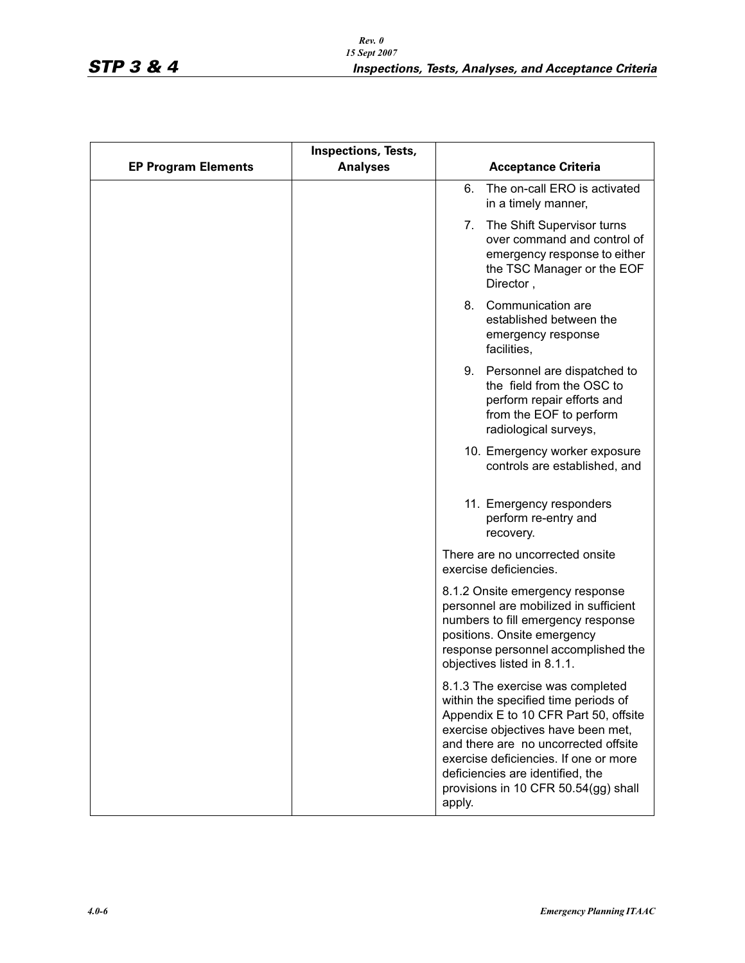|                            | <b>Inspections, Tests,</b> |                                                                                                                                                                                                                                                                                                                                |
|----------------------------|----------------------------|--------------------------------------------------------------------------------------------------------------------------------------------------------------------------------------------------------------------------------------------------------------------------------------------------------------------------------|
| <b>EP Program Elements</b> | <b>Analyses</b>            | <b>Acceptance Criteria</b>                                                                                                                                                                                                                                                                                                     |
|                            |                            | The on-call ERO is activated<br>6.<br>in a timely manner,                                                                                                                                                                                                                                                                      |
|                            |                            | The Shift Supervisor turns<br>7.<br>over command and control of<br>emergency response to either<br>the TSC Manager or the EOF<br>Director,                                                                                                                                                                                     |
|                            |                            | Communication are<br>8.<br>established between the<br>emergency response<br>facilities,                                                                                                                                                                                                                                        |
|                            |                            | 9.<br>Personnel are dispatched to<br>the field from the OSC to<br>perform repair efforts and<br>from the EOF to perform<br>radiological surveys,                                                                                                                                                                               |
|                            |                            | 10. Emergency worker exposure<br>controls are established, and                                                                                                                                                                                                                                                                 |
|                            |                            | 11. Emergency responders<br>perform re-entry and<br>recovery.                                                                                                                                                                                                                                                                  |
|                            |                            | There are no uncorrected onsite<br>exercise deficiencies.                                                                                                                                                                                                                                                                      |
|                            |                            | 8.1.2 Onsite emergency response<br>personnel are mobilized in sufficient<br>numbers to fill emergency response<br>positions. Onsite emergency<br>response personnel accomplished the<br>objectives listed in 8.1.1.                                                                                                            |
|                            |                            | 8.1.3 The exercise was completed<br>within the specified time periods of<br>Appendix E to 10 CFR Part 50, offsite<br>exercise objectives have been met,<br>and there are no uncorrected offsite<br>exercise deficiencies. If one or more<br>deficiencies are identified, the<br>provisions in 10 CFR 50.54(gg) shall<br>apply. |